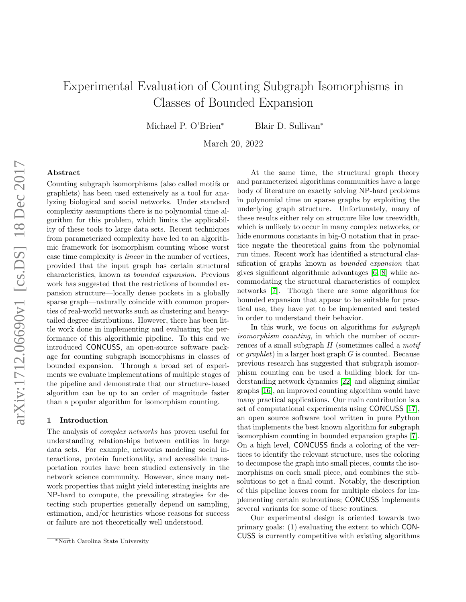# Experimental Evaluation of Counting Subgraph Isomorphisms in Classes of Bounded Expansion

Michael P. O'Brien<sup>∗</sup> Blair D. Sullivan<sup>\*</sup>

March 20, 2022

## Abstract

Counting subgraph isomorphisms (also called motifs or graphlets) has been used extensively as a tool for analyzing biological and social networks. Under standard complexity assumptions there is no polynomial time algorithm for this problem, which limits the applicability of these tools to large data sets. Recent techniques from parameterized complexity have led to an algorithmic framework for isomorphism counting whose worst case time complexity is linear in the number of vertices, provided that the input graph has certain structural characteristics, known as bounded expansion. Previous work has suggested that the restrictions of bounded expansion structure—locally dense pockets in a globally sparse graph—naturally coincide with common properties of real-world networks such as clustering and heavytailed degree distributions. However, there has been little work done in implementing and evaluating the performance of this algorithmic pipeline. To this end we introduced CONCUSS, an open-source software package for counting subgraph isomorphisms in classes of bounded expansion. Through a broad set of experiments we evaluate implementations of multiple stages of the pipeline and demonstrate that our structure-based algorithm can be up to an order of magnitude faster than a popular algorithm for isomorphism counting.

#### 1 Introduction

The analysis of complex networks has proven useful for understanding relationships between entities in large data sets. For example, networks modeling social interactions, protein functionality, and accessible transportation routes have been studied extensively in the network science community. However, since many network properties that might yield interesting insights are NP-hard to compute, the prevailing strategies for detecting such properties generally depend on sampling, estimation, and/or heuristics whose reasons for success or failure are not theoretically well understood.

At the same time, the structural graph theory and parameterized algorithms communities have a large body of literature on exactly solving NP-hard problems in polynomial time on sparse graphs by exploiting the underlying graph structure. Unfortunately, many of these results either rely on structure like low treewidth, which is unlikely to occur in many complex networks, or hide enormous constants in big-O notation that in practice negate the theoretical gains from the polynomial run times. Recent work has identified a structural classification of graphs known as bounded expansion that gives significant algorithmic advantages [\[6,](#page-9-0) [8\]](#page-9-1) while accommodating the structural characteristics of complex networks [\[7\]](#page-9-2). Though there are some algorithms for bounded expansion that appear to be suitable for practical use, they have yet to be implemented and tested in order to understand their behavior.

In this work, we focus on algorithms for subgraph isomorphism counting, in which the number of occurrences of a small subgraph  $H$  (sometimes called a *motif* or  $graphlet$ ) in a larger host graph  $G$  is counted. Because previous research has suggested that subgraph isomorphism counting can be used a building block for understanding network dynamics [\[22\]](#page-9-3) and aligning similar graphs [\[16\]](#page-9-4), an improved counting algorithm would have many practical applications. Our main contribution is a set of computational experiments using CONCUSS [\[17\]](#page-9-5), an open source software tool written in pure Python that implements the best known algorithm for subgraph isomorphism counting in bounded expansion graphs [\[7\]](#page-9-2). On a high level, CONCUSS finds a coloring of the vertices to identify the relevant structure, uses the coloring to decompose the graph into small pieces, counts the isomorphisms on each small piece, and combines the subsolutions to get a final count. Notably, the description of this pipeline leaves room for multiple choices for implementing certain subroutines; CONCUSS implements several variants for some of these routines.

Our experimental design is oriented towards two primary goals: (1) evaluating the extent to which CON-CUSS is currently competitive with existing algorithms

<sup>∗</sup>North Carolina State University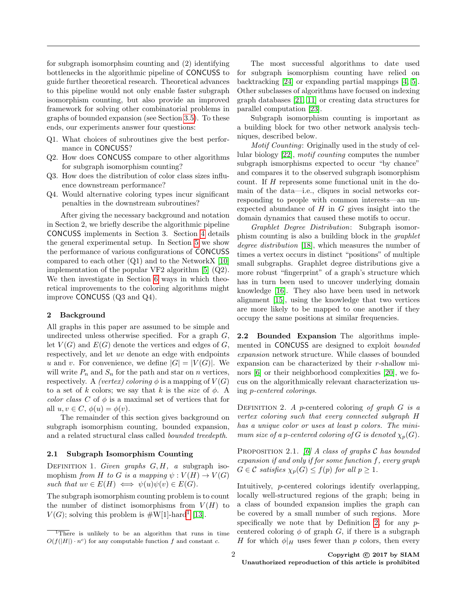for subgraph isomorphsim counting and (2) identifying bottlenecks in the algorithmic pipeline of CONCUSS to guide further theoretical research. Theoretical advances to this pipeline would not only enable faster subgraph isomorphism counting, but also provide an improved framework for solving other combinatorial problems in graphs of bounded expansion (see Section [3.5\)](#page-3-0). To these ends, our experiments answer four questions:

- Q1. What choices of subroutines give the best performance in CONCUSS?
- Q2. How does CONCUSS compare to other algorithms for subgraph isomorphism counting?
- Q3. How does the distribution of color class sizes influence downstream performance?
- Q4. Would alternative coloring types incur significant penalties in the downstream subroutines?

After giving the necessary background and notation in Section 2, we briefly describe the algorithmic pipeline CONCUSS implements in Section 3. Section [4](#page-4-0) details the general experimental setup. In Section [5](#page-4-1) we show the performance of various configurations of CONCUSS compared to each other (Q1) and to the NetworkX [\[10\]](#page-9-6) implementation of the popular VF2 algorithm [\[5\]](#page-9-7) (Q2). We then investigate in Section [6](#page-7-0) ways in which theoretical improvements to the coloring algorithms might improve CONCUSS (Q3 and Q4).

#### 2 Background

All graphs in this paper are assumed to be simple and undirected unless otherwise specified. For a graph  $G$ , let  $V(G)$  and  $E(G)$  denote the vertices and edges of G, respectively, and let uv denote an edge with endpoints u and v. For convenience, we define  $|G| = |V(G)|$ . We will write  $P_n$  and  $S_n$  for the path and star on n vertices, respectively. A (vertex) coloring  $\phi$  is a mapping of  $V(G)$ to a set of k colors; we say that k is the size of  $\phi$ . A color class C of  $\phi$  is a maximal set of vertices that for all  $u, v \in C$ ,  $\phi(u) = \phi(v)$ .

The remainder of this section gives background on subgraph isomorphism counting, bounded expansion, and a related structural class called bounded treedepth.

#### 2.1 Subgraph Isomorphism Counting

DEFINITION 1. Given graphs  $G, H, a$  subgraph isomophism from H to G is a mapping  $\psi : V(H) \to V(G)$ such that  $uv \in E(H) \iff \psi(u)\psi(v) \in E(G)$ .

The subgraph isomorphism counting problem is to count the number of distinct isomorphisms from  $V(H)$  to  $V(G)$ ; solving this problem is  $\#W[1]$  $\#W[1]$  $\#W[1]$ -hard<sup>1</sup> [\[13\]](#page-9-8).

The most successful algorithms to date used for subgraph isomorphism counting have relied on backtracking [\[24\]](#page-9-9) or expanding partial mappings [\[4,](#page-9-10) [5\]](#page-9-7). Other subclasses of algorithms have focused on indexing graph databases [\[21,](#page-9-11) [11\]](#page-9-12) or creating data structures for parallel computation [\[23\]](#page-9-13).

Subgraph isomorphism counting is important as a building block for two other network analysis techniques, described below.

Motif Counting: Originally used in the study of cellular biology [\[22\]](#page-9-3), motif counting computes the number subgraph ismorphisms expected to occur "by chance" and compares it to the observed subgraph isomorphism count. If H represents some functional unit in the domain of the data—i.e., cliques in social networks corresponding to people with common interests—an unexpected abundance of  $H$  in  $G$  gives insight into the domain dynamics that caused these motifs to occur.

Graphlet Degree Distribution: Subgraph isomorphism counting is also a building block in the graphlet degree distribution [\[18\]](#page-9-14), which measures the number of times a vertex occurs in distinct "positions" of multiple small subgraphs. Graphlet degree distributions give a more robust "fingerprint" of a graph's structure which has in turn been used to uncover underlying domain knowledge [\[16\]](#page-9-4). They also have been used in network alignment [\[15\]](#page-9-15), using the knowledge that two vertices are more likely to be mapped to one another if they occupy the same positions at similar frequencies.

2.2 Bounded Expansion The algorithms implemented in CONCUSS are designed to exploit bounded expansion network structure. While classes of bounded expansion can be characterized by their r-shallow minors [\[6\]](#page-9-0) or their neighborhood complexities [\[20\]](#page-9-16), we focus on the algorithmically relevant characterization using p-centered colorings.

<span id="page-1-1"></span>DEFINITION 2. A p-centered coloring of graph  $G$  is a vertex coloring such that every connected subgraph H has a unique color or uses at least p colors. The minimum size of a p-centered coloring of G is denoted  $\chi_p(G)$ .

PROPOSITION 2.1. [\[6\]](#page-9-0) A class of graphs  $\mathcal C$  has bounded expansion if and only if for some function f, every graph  $G \in \mathcal{C}$  satisfies  $\chi_p(G) \leq f(p)$  for all  $p \geq 1$ .

Intuitively, p-centered colorings identify overlapping, locally well-structured regions of the graph; being in a class of bounded expansion implies the graph can be covered by a small number of such regions. More specifically we note that by Definition [2,](#page-1-1) for any  $p$ centered coloring  $\phi$  of graph G, if there is a subgraph H for which  $\phi|_H$  uses fewer than p colors, then every

<span id="page-1-0"></span><sup>&</sup>lt;sup>1</sup>There is unlikely to be an algorithm that runs in time  $O(f(|H|) \cdot n^c)$  for any computable function f and constant c.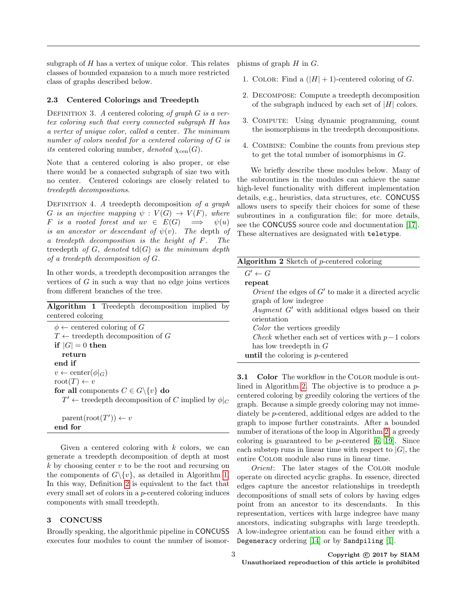subgraph of  $H$  has a vertex of unique color. This relates classes of bounded expansion to a much more restricted class of graphs described below.

## 2.3 Centered Colorings and Treedepth

DEFINITION 3. A centered coloring of graph  $G$  is a vertex coloring such that every connected subgraph H has a vertex of unique color, called a center. The minimum number of colors needed for a centered coloring of G is its centered coloring number, denoted  $\chi_{\text{cen}}(G)$ .

Note that a centered coloring is also proper, or else there would be a connected subgraph of size two with no center. Centered colorings are closely related to treedepth decompositions.

DEFINITION 4. A treedepth decomposition of a graph G is an injective mapping  $\psi : V(G) \to V(F)$ , where F is a rooted forest and  $uv \in E(G) \implies \psi(u)$ is an ancestor or descendant of  $\psi(v)$ . The depth of a treedepth decomposition is the height of F. The treedepth of  $G$ , denoted  $td(G)$  is the minimum depth of a treedepth decomposition of G.

In other words, a treedepth decomposition arranges the vertices of  $G$  in such a way that no edge joins vertices from different branches of the tree.

<span id="page-2-0"></span>Algorithm 1 Treedepth decomposition implied by centered coloring

 $\phi \leftarrow$  centered coloring of G  $T \leftarrow$  treedepth decomposition of G if  $|G| = 0$  then return end if  $v \leftarrow \text{center}(\phi|_G)$ root $(T) \leftarrow v$ for all components  $C \in G \backslash \{v\}$  do  $T' \leftarrow$  treedepth decomposition of C implied by  $\phi|_C$  $\text{parent}(\text{root}(T')) \leftarrow v$ 

Given a centered coloring with  $k$  colors, we can generate a treedepth decomposition of depth at most  $k$  by choosing center  $v$  to be the root and recursing on the components of  $G \setminus \{v\}$ , as detailed in Algorithm [1.](#page-2-0) In this way, Definition [2](#page-1-1) is equivalent to the fact that every small set of colors in a p-centered coloring induces components with small treedepth.

## 3 CONCUSS

end for

Broadly speaking, the algorithmic pipeline in CONCUSS executes four modules to count the number of isomorphisms of graph  $H$  in  $G$ .

- 1. COLOR: Find a  $(|H|+1)$ -centered coloring of G.
- 2. Decompose: Compute a treedepth decomposition of the subgraph induced by each set of  $|H|$  colors.
- 3. Compute: Using dynamic programming, count the isomorphisms in the treedepth decompositions.
- 4. Combine: Combine the counts from previous step to get the total number of isomorphisms in G.

We briefly describe these modules below. Many of the subroutines in the modules can achieve the same high-level functionality with different implementation details, e.g., heuristics, data structures, etc. CONCUSS allows users to specify their choices for some of these subroutines in a configuration file; for more details, see the CONCUSS source code and documentation [\[17\]](#page-9-5). These alternatives are designated with teletype.

<span id="page-2-2"></span><span id="page-2-1"></span>

**3.1 Color** The workflow in the COLOR module is outlined in Algorithm [2.](#page-2-1) The objective is to produce a pcentered coloring by greedily coloring the vertices of the graph. Because a simple greedy coloring may not immediately be p-centered, additional edges are added to the graph to impose further constraints. After a bounded number of iterations of the loop in Algorithm [2,](#page-2-1) a greedy coloring is guaranteed to be *p*-centered  $[6, 19]$  $[6, 19]$ . Since each substep runs in linear time with respect to  $|G|$ , the entire Color module also runs in linear time.

Orient: The later stages of the Color module operate on directed acyclic graphs. In essence, directed edges capture the ancestor relationships in treedepth decompositions of small sets of colors by having edges point from an ancestor to its descendants. In this representation, vertices with large indegree have many ancestors, indicating subgraphs with large treedepth. A low-indegree orientation can be found either with a Degeneracy ordering [\[14\]](#page-9-18) or by Sandpiling [\[1\]](#page-9-19).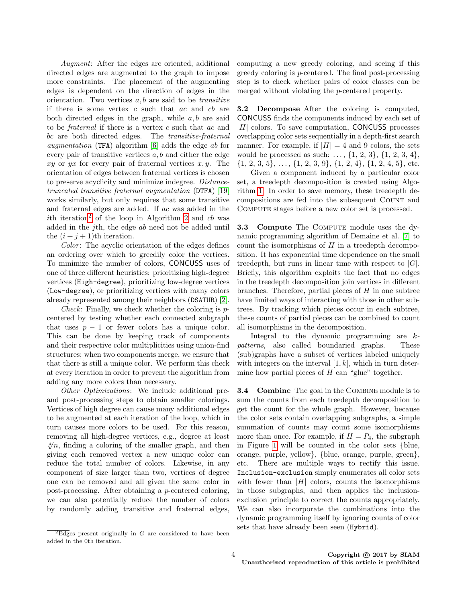Augment: After the edges are oriented, additional directed edges are augmented to the graph to impose more constraints. The placement of the augmenting edges is dependent on the direction of edges in the orientation. Two vertices  $a, b$  are said to be *transitive* if there is some vertex  $c$  such that  $ac$  and  $cb$  are both directed edges in the graph, while  $a, b$  are said to be fraternal if there is a vertex c such that ac and bc are both directed edges. The transitive-fraternal augmentation (TFA) algorithm [\[6\]](#page-9-0) adds the edge ab for every pair of transitive vertices  $a, b$  and either the edge xy or yx for every pair of fraternal vertices  $x, y$ . The orientation of edges between fraternal vertices is chosen to preserve acyclicity and minimize indegree. Distancetruncated transitive fraternal augmentation (DTFA) [\[19\]](#page-9-17) works similarly, but only requires that some transitive and fraternal edges are added. If ac was added in the ith iteration<sup>[2](#page-3-1)</sup> of the loop in Algorithm [2](#page-2-1) and  $cb$  was added in the jth, the edge ab need not be added until the  $(i + j + 1)$ th iteration.

Color: The acyclic orientation of the edges defines an ordering over which to greedily color the vertices. To minimize the number of colors, CONCUSS uses of one of three different heuristics: prioritizing high-degree vertices (High-degree), prioritizing low-degree vertices (Low-degree), or prioritizing vertices with many colors already represented among their neighbors (DSATUR) [\[2\]](#page-9-20).

Check: Finally, we check whether the coloring is  $p$ centered by testing whether each connected subgraph that uses  $p - 1$  or fewer colors has a unique color. This can be done by keeping track of components and their respective color multiplicities using union-find structures; when two components merge, we ensure that that there is still a unique color. We perform this check at every iteration in order to prevent the algorithm from adding any more colors than necessary.

Other Optimizations: We include additional preand post-processing steps to obtain smaller colorings. Vertices of high degree can cause many additional edges to be augmented at each iteration of the loop, which in turn causes more colors to be used. For this reason, removing all high-degree vertices, e.g., degree at least  $\sqrt[4]{n}$ , finding a coloring of the smaller graph, and then giving each removed vertex a new unique color can reduce the total number of colors. Likewise, in any component of size larger than two, vertices of degree one can be removed and all given the same color in post-processing. After obtaining a p-centered coloring, we can also potentially reduce the number of colors by randomly adding transitive and fraternal edges,

<span id="page-3-1"></span> $^{2}$ Edges present originally in G are considered to have been added in the 0th iteration.

computing a new greedy coloring, and seeing if this greedy coloring is p-centered. The final post-processing step is to check whether pairs of color classes can be merged without violating the p-centered property.

3.2 Decompose After the coloring is computed, CONCUSS finds the components induced by each set of  $|H|$  colors. To save computation, CONCUSS processes overlapping color sets sequentially in a depth-first search manner. For example, if  $|H| = 4$  and 9 colors, the sets would be processed as such:  $\ldots$ ,  $\{1, 2, 3\}$ ,  $\{1, 2, 3, 4\}$ ,  $\{1, 2, 3, 5\}, \ldots, \{1, 2, 3, 9\}, \{1, 2, 4\}, \{1, 2, 4, 5\}, \text{etc.}$ 

Given a component induced by a particular color set, a treedepth decomposition is created using Algorithm [1.](#page-2-0) In order to save memory, these treedepth decompositions are fed into the subsequent COUNT and Compute stages before a new color set is processed.

<span id="page-3-3"></span>3.3 Compute The Compute module uses the dynamic programming algorithm of Demaine et al. [\[7\]](#page-9-2) to count the isomorphisms of  $H$  in a treedepth decomposition. It has exponential time dependence on the small treedepth, but runs in linear time with respect to  $|G|$ . Briefly, this algorithm exploits the fact that no edges in the treedepth decomposition join vertices in different branches. Therefore, partial pieces of  $H$  in one subtree have limited ways of interacting with those in other subtrees. By tracking which pieces occur in each subtree, these counts of partial pieces can be combined to count all isomorphisms in the decomposition.

Integral to the dynamic programming are kpatterns, also called boundaried graphs. These (sub)graphs have a subset of vertices labeled uniquely with integers on the interval  $[1, k]$ , which in turn determine how partial pieces of  $H$  can "glue" together.

<span id="page-3-2"></span><span id="page-3-0"></span>**3.4 Combine** The goal in the COMBINE module is to sum the counts from each treedepth decomposition to get the count for the whole graph. However, because the color sets contain overlapping subgraphs, a simple summation of counts may count some isomorphisms more than once. For example, if  $H = P_4$ , the subgraph in Figure [1](#page-4-2) will be counted in the color sets {blue, orange, purple, yellow}, {blue, orange, purple, green}, etc. There are multiple ways to rectify this issue. Inclusion-exclusion simply enumerates all color sets with fewer than  $|H|$  colors, counts the isomorphisms in those subgraphs, and then applies the inclusionexclusion principle to correct the counts appropriately. We can also incorporate the combinations into the dynamic programming itself by ignoring counts of color sets that have already been seen (Hybrid).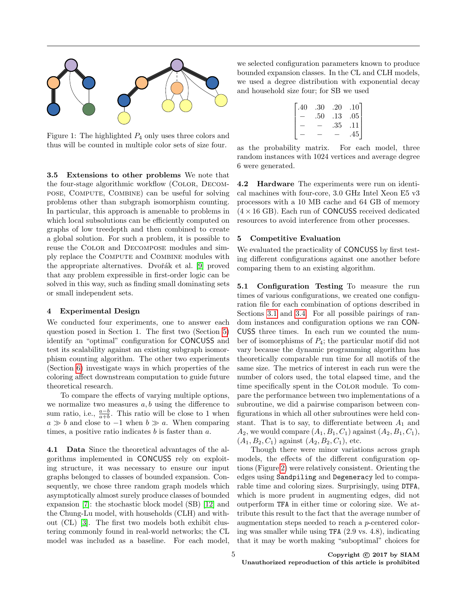<span id="page-4-2"></span>

Figure 1: The highlighted  $P_4$  only uses three colors and thus will be counted in multiple color sets of size four.

3.5 Extensions to other problems We note that the four-stage algorithmic workflow (Color, Decompose, Compute, Combine) can be useful for solving problems other than subgraph isomorphism counting. In particular, this approach is amenable to problems in which local subsolutions can be efficiently computed on graphs of low treedepth and then combined to create a global solution. For such a problem, it is possible to reuse the Color and Decompose modules and simply replace the Compute and Combine modules with the appropriate alternatives. Dvořák et al. [\[9\]](#page-9-21) proved that any problem expressible in first-order logic can be solved in this way, such as finding small dominating sets or small independent sets.

#### <span id="page-4-0"></span>4 Experimental Design

We conducted four experiments, one to answer each question posed in Section 1. The first two (Section [5\)](#page-4-1) identify an "optimal" configuration for CONCUSS and test its scalability against an existing subgraph isomorphism counting algorithm. The other two experiments (Section [6\)](#page-7-0) investigate ways in which properties of the coloring affect downstream computation to guide future theoretical research.

To compare the effects of varying multiple options, we normalize two measures  $a, b$  using the difference to sum ratio, i.e.,  $\frac{a-b}{a+b}$ . This ratio will be close to 1 when  $a \gg b$  and close to  $-1$  when  $b \gg a$ . When comparing times, a positive ratio indicates  $b$  is faster than  $a$ .

4.1 Data Since the theoretical advantages of the algorithms implemented in CONCUSS rely on exploiting structure, it was necessary to ensure our input graphs belonged to classes of bounded expansion. Consequently, we chose three random graph models which asymptotically almost surely produce classes of bounded expansion [\[7\]](#page-9-2): the stochastic block model (SB) [\[12\]](#page-9-22) and the Chung-Lu model, with households (CLH) and without (CL) [\[3\]](#page-9-23). The first two models both exhibit clustering commonly found in real-world networks; the CL model was included as a baseline. For each model,

we selected configuration parameters known to produce bounded expansion classes. In the CL and CLH models, we used a degree distribution with exponential decay and household size four; for SB we used

$$
\begin{bmatrix} .40 & .30 & .20 & .10 \\ - & .50 & .13 & .05 \\ - & - & .35 & .11 \\ - & - & - & .45 \end{bmatrix}
$$

as the probability matrix. For each model, three random instances with 1024 vertices and average degree 6 were generated.

4.2 Hardware The experiments were run on identical machines with four-core, 3.0 GHz Intel Xeon E5 v3 processors with a 10 MB cache and 64 GB of memory  $(4 \times 16$  GB). Each run of CONCUSS received dedicated resources to avoid interference from other processes.

## <span id="page-4-1"></span>5 Competitive Evaluation

We evaluated the practicality of CONCUSS by first testing different configurations against one another before comparing them to an existing algorithm.

5.1 Configuration Testing To measure the run times of various configurations, we created one configuration file for each combination of options described in Sections [3.1](#page-2-2) and [3.4.](#page-3-2) For all possible pairings of random instances and configuration options we ran CON-CUSS three times. In each run we counted the number of isomorphisms of  $P_4$ ; the particular motif did not vary because the dynamic programming algorithm has theoretically comparable run time for all motifs of the same size. The metrics of interest in each run were the number of colors used, the total elapsed time, and the time specifically spent in the Color module. To compare the performance between two implementations of a subroutine, we did a pairwise comparison between configurations in which all other subroutines were held constant. That is to say, to differentiate between  $A_1$  and  $A_2$ , we would compare  $(A_1, B_1, C_1)$  against  $(A_2, B_1, C_1)$ ,  $(A_1, B_2, C_1)$  against  $(A_2, B_2, C_1)$ , etc.

Though there were minor variations across graph models, the effects of the different configuration options (Figure [2\)](#page-5-0) were relatively consistent. Orienting the edges using Sandpiling and Degeneracy led to comparable time and coloring sizes. Surprisingly, using DTFA, which is more prudent in augmenting edges, did not outperform TFA in either time or coloring size. We attribute this result to the fact that the average number of augmentation steps needed to reach a p-centered coloring was smaller while using TFA (2.9 vs. 4.8), indicating that it may be worth making "suboptimal" choices for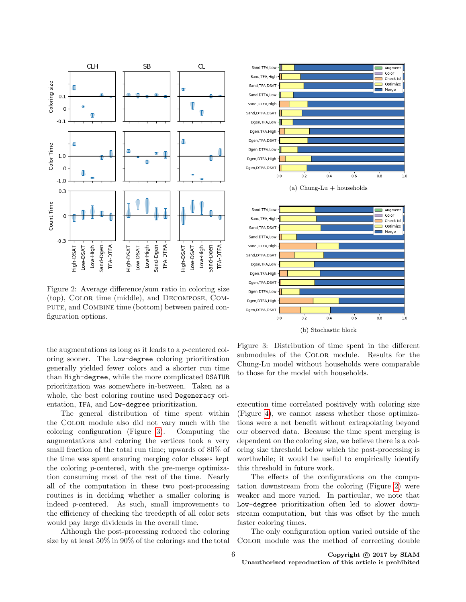<span id="page-5-0"></span>

Figure 2: Average difference/sum ratio in coloring size (top), Color time (middle), and Decompose, Compute, and Combine time (bottom) between paired configuration options.

the augmentations as long as it leads to a p-centered coloring sooner. The Low-degree coloring prioritization generally yielded fewer colors and a shorter run time than High-degree, while the more complicated DSATUR prioritization was somewhere in-between. Taken as a whole, the best coloring routine used Degeneracy orientation, TFA, and Low-degree prioritization.

The general distribution of time spent within the Color module also did not vary much with the coloring configuration (Figure [3\)](#page-5-1). Computing the augmentations and coloring the vertices took a very small fraction of the total run time; upwards of 80% of the time was spent ensuring merging color classes kept the coloring p-centered, with the pre-merge optimization consuming most of the rest of the time. Nearly all of the computation in these two post-processing routines is in deciding whether a smaller coloring is indeed p-centered. As such, small improvements to the efficiency of checking the treedepth of all color sets would pay large dividends in the overall time.

Although the post-processing reduced the coloring size by at least 50% in 90% of the colorings and the total

<span id="page-5-1"></span>

 $(a)$  Chung-Lu + households



Figure 3: Distribution of time spent in the different submodules of the Color module. Results for the Chung-Lu model without households were comparable to those for the model with households.

execution time correlated positively with coloring size (Figure [4\)](#page-6-0), we cannot assess whether those optimizations were a net benefit without extrapolating beyond our observed data. Because the time spent merging is dependent on the coloring size, we believe there is a coloring size threshold below which the post-processing is worthwhile; it would be useful to empirically identify this threshold in future work.

The effects of the configurations on the computation downstream from the coloring (Figure [2\)](#page-5-0) were weaker and more varied. In particular, we note that Low-degree prioritization often led to slower downstream computation, but this was offset by the much faster coloring times.

The only configuration option varied outside of the Color module was the method of correcting double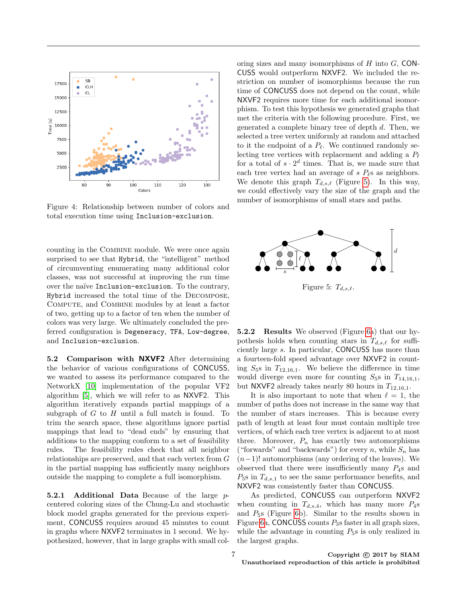<span id="page-6-0"></span>

Figure 4: Relationship between number of colors and total execution time using Inclusion-exclusion.

counting in the Combine module. We were once again surprised to see that Hybrid, the "intelligent" method of circumventing enumerating many additional color classes, was not successful at improving the run time over the naïve Inclusion-exclusion. To the contrary, Hybrid increased the total time of the Decompose, Compute, and Combine modules by at least a factor of two, getting up to a factor of ten when the number of colors was very large. We ultimately concluded the preferred configuration is Degeneracy, TFA, Low-degree, and Inclusion-exclusion.

5.2 Comparison with NXVF2 After determining the behavior of various configurations of CONCUSS, we wanted to assess its performance compared to the NetworkX [\[10\]](#page-9-6) implementation of the popular VF2 algorithm [\[5\]](#page-9-7), which we will refer to as NXVF2. This algorithm iteratively expands partial mappings of a subgraph of  $G$  to  $H$  until a full match is found. To trim the search space, these algorithms ignore partial mappings that lead to "dead ends" by ensuring that additions to the mapping conform to a set of feasibility rules. The feasibility rules check that all neighbor relationships are preserved, and that each vertex from G in the partial mapping has sufficiently many neighbors outside the mapping to complete a full isomorphism.

5.2.1 Additional Data Because of the large  $p$ centered coloring sizes of the Chung-Lu and stochastic block model graphs generated for the previous experiment, CONCUSS requires around 45 minutes to count in graphs where NXVF2 terminates in 1 second. We hypothesized, however, that in large graphs with small col-

oring sizes and many isomorphisms of  $H$  into  $G$ , CON-CUSS would outperform NXVF2. We included the restriction on number of isomorphisms because the run time of CONCUSS does not depend on the count, while NXVF2 requires more time for each additional isomorphism. To test this hypothesis we generated graphs that met the criteria with the following procedure. First, we generated a complete binary tree of depth d. Then, we selected a tree vertex uniformly at random and attached to it the endpoint of a  $P_\ell$ . We continued randomly selecting tree vertices with replacement and adding a  $P_{\ell}$ for a total of  $s \cdot 2^d$  times. That is, we made sure that each tree vertex had an average of  $s$   $P_{\ell}$ s as neighbors. We denote this graph  $T_{d,s,\ell}$  (Figure [5\)](#page-6-1). In this way, we could effectively vary the size of the graph and the number of isomorphisms of small stars and paths.

<span id="page-6-1"></span>

Figure 5:  $T_{d,s,\ell}$ .

5.2.2 Results We observed (Figure [6a](#page-7-1)) that our hypothesis holds when counting stars in  $T_{d,s,\ell}$  for sufficiently large s. In particular, CONCUSS has more than a fourteen-fold speed advantage over NXVF2 in counting  $S_5$ s in  $T_{12,16,1}$ . We believe the difference in time would diverge even more for counting  $S_5$ s in  $T_{14,16,1}$ , but NXVF2 already takes nearly 80 hours in  $T_{12,16,1}$ .

It is also important to note that when  $\ell = 1$ , the number of paths does not increase in the same way that the number of stars increases. This is because every path of length at least four must contain multiple tree vertices, of which each tree vertex is adjacent to at most three. Moreover,  $P_n$  has exactly two automorphisms ("forwards" and "backwards") for every  $n$ , while  $S_n$  has  $(n-1)!$  automorphisms (any ordering of the leaves). We observed that there were insufficiently many  $P_4$ s and  $P_5$ s in  $T_{d,s,1}$  to see the same performance benefits, and NXVF2 was consistently faster than CONCUSS.

As predicted, CONCUSS can outperform NXVF2 when counting in  $T_{d,s,4}$ , which has many more  $P_4$ s and  $P_5$ s (Figure [6b](#page-7-1)). Similar to the results shown in Figure [6a](#page-7-1), CONCUSS counts  $P_3$ s faster in all graph sizes, while the advantage in counting  $P_5$ s is only realized in the largest graphs.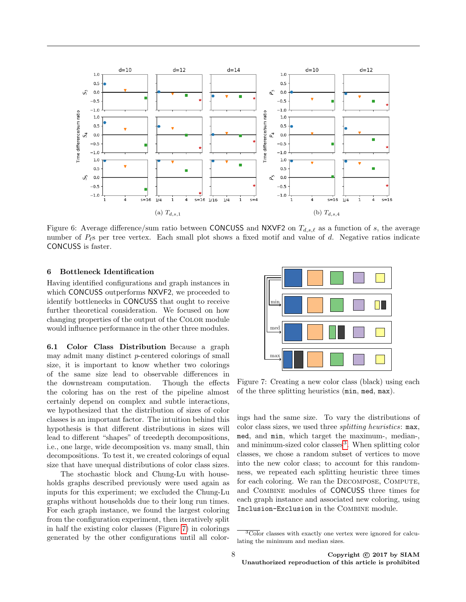<span id="page-7-1"></span>

Figure 6: Average difference/sum ratio between CONCUSS and NXVF2 on  $T_{d,s,\ell}$  as a function of s, the average number of  $P_{\ell}$ s per tree vertex. Each small plot shows a fixed motif and value of d. Negative ratios indicate CONCUSS is faster.

#### <span id="page-7-0"></span>6 Bottleneck Identification

Having identified configurations and graph instances in which CONCUSS outperforms NXVF2, we proceeded to identify bottlenecks in CONCUSS that ought to receive further theoretical consideration. We focused on how changing properties of the output of the Color module would influence performance in the other three modules.

6.1 Color Class Distribution Because a graph may admit many distinct p-centered colorings of small size, it is important to know whether two colorings of the same size lead to observable differences in the downstream computation. Though the effects the coloring has on the rest of the pipeline almost certainly depend on complex and subtle interactions, we hypothesized that the distribution of sizes of color classes is an important factor. The intuition behind this hypothesis is that different distributions in sizes will lead to different "shapes" of treedepth decompositions, i.e., one large, wide decomposition vs. many small, thin decompositions. To test it, we created colorings of equal size that have unequal distributions of color class sizes.

The stochastic block and Chung-Lu with households graphs described previously were used again as inputs for this experiment; we excluded the Chung-Lu graphs without households due to their long run times. For each graph instance, we found the largest coloring from the configuration experiment, then iteratively split in half the existing color classes (Figure [7\)](#page-7-2) in colorings generated by the other configurations until all color-

<span id="page-7-2"></span>

Figure 7: Creating a new color class (black) using each of the three splitting heuristics (min, med, max).

ings had the same size. To vary the distributions of color class sizes, we used three splitting heuristics: max, med, and min, which target the maximum-, median-, and minimum-sized color classes<sup>[3](#page-7-3)</sup>. When splitting color classes, we chose a random subset of vertices to move into the new color class; to account for this randomness, we repeated each splitting heuristic three times for each coloring. We ran the DECOMPOSE, COMPUTE, and Combine modules of CONCUSS three times for each graph instance and associated new coloring, using Inclusion-Exclusion in the Combine module.

<span id="page-7-3"></span><sup>&</sup>lt;sup>3</sup>Color classes with exactly one vertex were ignored for calculating the minimum and median sizes.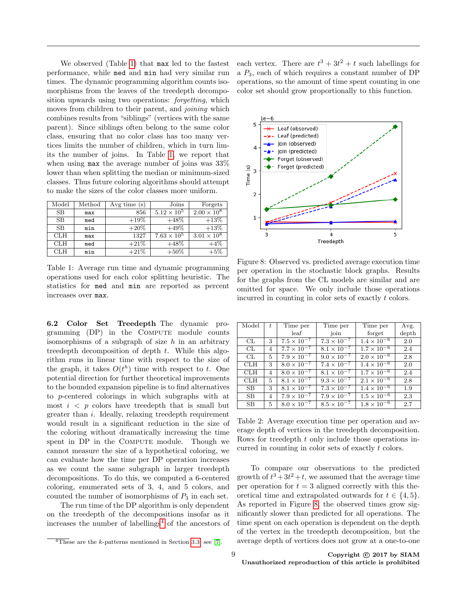We observed (Table [1\)](#page-8-0) that max led to the fastest performance, while med and min had very similar run times. The dynamic programming algorithm counts isomorphisms from the leaves of the treedepth decomposition upwards using two operations: *forgetting*, which moves from children to their parent, and *joining* which combines results from "siblings" (vertices with the same parent). Since siblings often belong to the same color class, ensuring that no color class has too many vertices limits the number of children, which in turn limits the number of joins. In Table [1,](#page-8-0) we report that when using max the average number of joins was 33% lower than when splitting the median or minimum-sized classes. Thus future coloring algorithms should attempt to make the sizes of the color classes more uniform.

<span id="page-8-0"></span>

| Model      | Method | Avg time $(s)$ | Joins                | Forgets              |
|------------|--------|----------------|----------------------|----------------------|
| <b>SB</b>  | max    | 856            | $5.12 \times 10^{5}$ | $2.00 \times 10^{8}$ |
| SB         | med    | $+19\%$        | $+48\%$              | $+13%$               |
| <b>SB</b>  | min    | $+20\%$        | $+49%$               | $+13%$               |
| <b>CLH</b> | max    | 1327           | $7.63 \times 10^{5}$ | $3.01 \times 10^{8}$ |
| <b>CLH</b> | med    | $+21%$         | $+48\%$              | $+4\%$               |
| <b>CLH</b> | min    | $+21%$         | $+50\%$              | $+5\%$               |

Table 1: Average run time and dynamic programming operations used for each color splitting heuristic. The statistics for med and min are reported as percent increases over max.

6.2 Color Set Treedepth The dynamic programming (DP) in the COMPUTE module counts isomorphisms of a subgraph of size  $h$  in an arbitrary treedepth decomposition of depth t. While this algorithm runs in linear time with respect to the size of the graph, it takes  $O(t^h)$  time with respect to t. One potential direction for further theoretical improvements to the bounded expansion pipeline is to find alternatives to p-centered colorings in which subgraphs with at most  $i \leq p$  colors have treedepth that is small but greater than i. Ideally, relaxing treedepth requirement would result in a significant reduction in the size of the coloring without dramatically increasing the time spent in DP in the COMPUTE module. Though we cannot measure the size of a hypothetical coloring, we can evaluate how the time per DP operation increases as we count the same subgraph in larger treedepth decompositions. To do this, we computed a 6-centered coloring, enumerated sets of 3, 4, and 5 colors, and counted the number of isomorphisms of  $P_3$  in each set.

The run time of the DP algorithm is only dependent on the treedepth of the decompositions insofar as it increases the number of labellings<sup>[4](#page-8-1)</sup> of the ancestors of

each vertex. There are  $t^3 + 3t^2 + t$  such labellings for a  $P_3$ , each of which requires a constant number of DP operations, so the amount of time spent counting in one color set should grow proportionally to this function.

<span id="page-8-2"></span>

Figure 8: Observed vs. predicted average execution time per operation in the stochastic block graphs. Results for the graphs from the CL models are similar and are omitted for space. We only include those operations incurred in counting in color sets of exactly t colors.

<span id="page-8-3"></span>

| Model | t. | Time per             | Time per             | Time per             | Avg.  |
|-------|----|----------------------|----------------------|----------------------|-------|
|       |    | leaf                 | join                 | forget               | depth |
| CL    | 3  | $7.5 \times 10^{-7}$ | $7.3 \times 10^{-7}$ | $1.4 \times 10^{-6}$ | 2.0   |
| CL    | 4  | $7.7 \times 10^{-7}$ | $8.1 \times 10^{-7}$ | $1.7 \times 10^{-6}$ | 2.4   |
| CL    | 5  | $7.9 \times 10^{-7}$ | $9.0 \times 10^{-7}$ | $2.0 \times 10^{-6}$ | 2.8   |
| CLH   | 3  | $8.0 \times 10^{-7}$ | $7.4 \times 10^{-7}$ | $1.4 \times 10^{-6}$ | 2.0   |
| CLH   | 4  | $8.0 \times 10^{-7}$ | $8.1 \times 10^{-7}$ | $1.7 \times 10^{-6}$ | 2.4   |
| CLH   | 5  | $8.1 \times 10^{-7}$ | $9.3 \times 10^{-7}$ | $2.1 \times 10^{-6}$ | 2.8   |
| SB    | 3  | $8.1 \times 10^{-7}$ | $7.3 \times 10^{-7}$ | $1.4 \times 10^{-6}$ | 1.9   |
| SB    | 4  | $7.9 \times 10^{-7}$ | $7.9 \times 10^{-7}$ | $1.5 \times 10^{-6}$ | 2.3   |
| SB.   | 5  | $8.0 \times 10^{-7}$ | $8.5 \times 10^{-7}$ | $1.8 \times 10^{-6}$ | 2.7   |

Table 2: Average execution time per operation and average depth of vertices in the treedepth decomposition. Rows for treedepth t only include those operations incurred in counting in color sets of exactly t colors.

To compare our observations to the predicted growth of  $t^3 + 3t^2 + t$ , we assumed that the average time per operation for  $t = 3$  aligned correctly with this theoretical time and extrapolated outwards for  $t \in \{4, 5\}.$ As reported in Figure [8,](#page-8-2) the observed times grow significantly slower than predicted for all operations. The time spent on each operation is dependent on the depth of the vertex in the treedepth decomposition, but the average depth of vertices does not grow at a one-to-one

<span id="page-8-1"></span> $\sqrt[4]{4}$ These are the k-patterns mentioned in Section [3.3;](#page-3-3) see [\[7\]](#page-9-2).